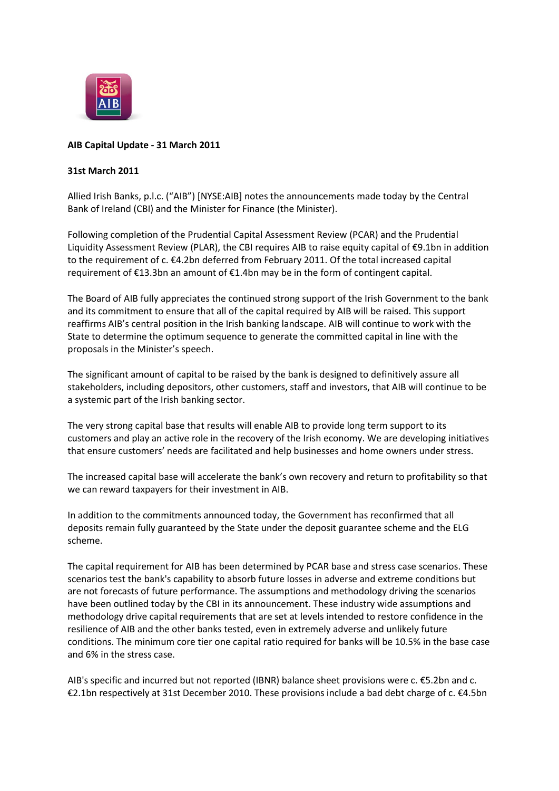

# **AIB Capital Update - 31 March 2011**

## **31st March 2011**

Allied Irish Banks, p.l.c. ("AIB") [NYSE:AIB] notes the announcements made today by the Central Bank of Ireland (CBI) and the Minister for Finance (the Minister).

Following completion of the Prudential Capital Assessment Review (PCAR) and the Prudential Liquidity Assessment Review (PLAR), the CBI requires AIB to raise equity capital of €9.1bn in addition to the requirement of c. €4.2bn deferred from February 2011. Of the total increased capital requirement of €13.3bn an amount of €1.4bn may be in the form of contingent capital.

The Board of AIB fully appreciates the continued strong support of the Irish Government to the bank and its commitment to ensure that all of the capital required by AIB will be raised. This support reaffirms AIB's central position in the Irish banking landscape. AIB will continue to work with the State to determine the optimum sequence to generate the committed capital in line with the proposals in the Minister's speech.

The significant amount of capital to be raised by the bank is designed to definitively assure all stakeholders, including depositors, other customers, staff and investors, that AIB will continue to be a systemic part of the Irish banking sector.

The very strong capital base that results will enable AIB to provide long term support to its customers and play an active role in the recovery of the Irish economy. We are developing initiatives that ensure customers' needs are facilitated and help businesses and home owners under stress.

The increased capital base will accelerate the bank's own recovery and return to profitability so that we can reward taxpayers for their investment in AIB.

In addition to the commitments announced today, the Government has reconfirmed that all deposits remain fully guaranteed by the State under the deposit guarantee scheme and the ELG scheme.

The capital requirement for AIB has been determined by PCAR base and stress case scenarios. These scenarios test the bank's capability to absorb future losses in adverse and extreme conditions but are not forecasts of future performance. The assumptions and methodology driving the scenarios have been outlined today by the CBI in its announcement. These industry wide assumptions and methodology drive capital requirements that are set at levels intended to restore confidence in the resilience of AIB and the other banks tested, even in extremely adverse and unlikely future conditions. The minimum core tier one capital ratio required for banks will be 10.5% in the base case and 6% in the stress case.

AIB's specific and incurred but not reported (IBNR) balance sheet provisions were c. €5.2bn and c. €2.1bn respectively at 31st December 2010. These provisions include a bad debt charge of c. €4.5bn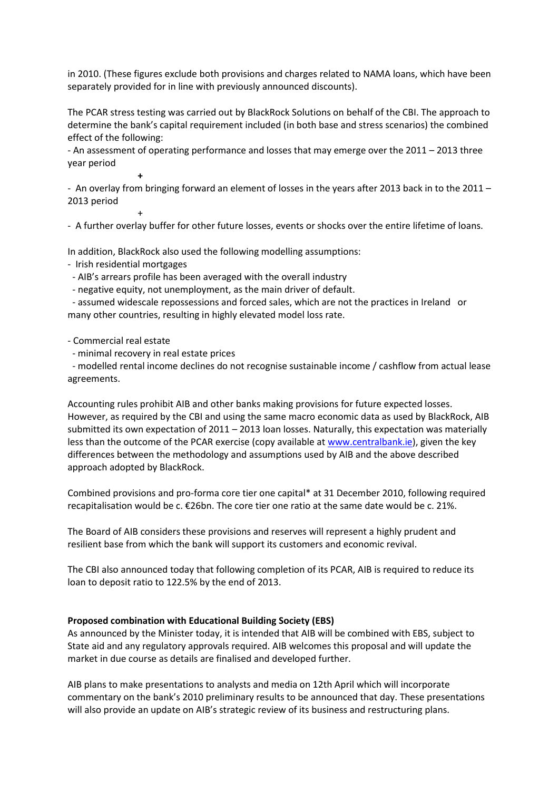in 2010. (These figures exclude both provisions and charges related to NAMA loans, which have been separately provided for in line with previously announced discounts).

The PCAR stress testing was carried out by BlackRock Solutions on behalf of the CBI. The approach to determine the bank's capital requirement included (in both base and stress scenarios) the combined effect of the following:

- An assessment of operating performance and losses that may emerge over the 2011 – 2013 three year period

- An overlay from bringing forward an element of losses in the years after 2013 back in to the 2011 – 2013 period

- A further overlay buffer for other future losses, events or shocks over the entire lifetime of loans.

In addition, BlackRock also used the following modelling assumptions:

- Irish residential mortgages

**+**

+

- AIB's arrears profile has been averaged with the overall industry
- negative equity, not unemployment, as the main driver of default.

- assumed widescale repossessions and forced sales, which are not the practices in Ireland or many other countries, resulting in highly elevated model loss rate.

### - Commercial real estate

- minimal recovery in real estate prices

- modelled rental income declines do not recognise sustainable income / cashflow from actual lease agreements.

Accounting rules prohibit AIB and other banks making provisions for future expected losses. However, as required by the CBI and using the same macro economic data as used by BlackRock, AIB submitted its own expectation of 2011 – 2013 loan losses. Naturally, this expectation was materially less than the outcome of the PCAR exercise (copy available at [www.centralbank.ie\)](http://www.centralbank.ie/), given the key differences between the methodology and assumptions used by AIB and the above described approach adopted by BlackRock.

Combined provisions and pro-forma core tier one capital\* at 31 December 2010, following required recapitalisation would be c. €26bn. The core tier one ratio at the same date would be c. 21%.

The Board of AIB considers these provisions and reserves will represent a highly prudent and resilient base from which the bank will support its customers and economic revival.

The CBI also announced today that following completion of its PCAR, AIB is required to reduce its loan to deposit ratio to 122.5% by the end of 2013.

#### **Proposed combination with Educational Building Society (EBS)**

As announced by the Minister today, it is intended that AIB will be combined with EBS, subject to State aid and any regulatory approvals required. AIB welcomes this proposal and will update the market in due course as details are finalised and developed further.

AIB plans to make presentations to analysts and media on 12th April which will incorporate commentary on the bank's 2010 preliminary results to be announced that day. These presentations will also provide an update on AIB's strategic review of its business and restructuring plans.